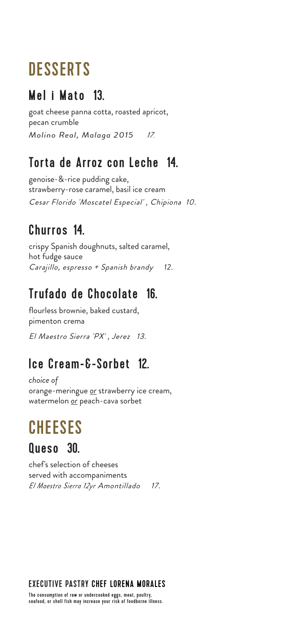## **DESSERTS**

#### Mel i Mato 13.

goat cheese panna cotta, roasted apricot, pecan crumble *Molino Real, Malaga 2015<sup>17</sup>.*

#### Torta de Arroz con Leche 14.

genoise-&-rice pudding cake, strawberry-rose caramel, basil ice cream Cesar Florido 'Moscatel Especial' , Chipiona 10.

### Churros 14.

crispy Spanish doughnuts, salted caramel, hot fudge sauce Carajillo, espresso + Spanish brandy *12.*

### Trufado de Chocolate 16.

flourless brownie, baked custard, pimenton crema El Maestro Sierra 'PX' , Jerez 13.

#### Ice Cream-&-Sorbet 12.

*choice of*  orange-meringue *or* strawberry ice cream, watermelon *or* peach-cava sorbet

# **CHEESES**

#### Queso 30.

chef's selection of cheeses served with accompaniments *El Maestro Sierra 12yr* Amontillado 17.

#### EXECUTIVE PASTRY CHEF LORENA MORALES

The consumption of raw or undercooked eggs, meat, poultry, seafood, or shell fish may increase your risk of foodborne illness.